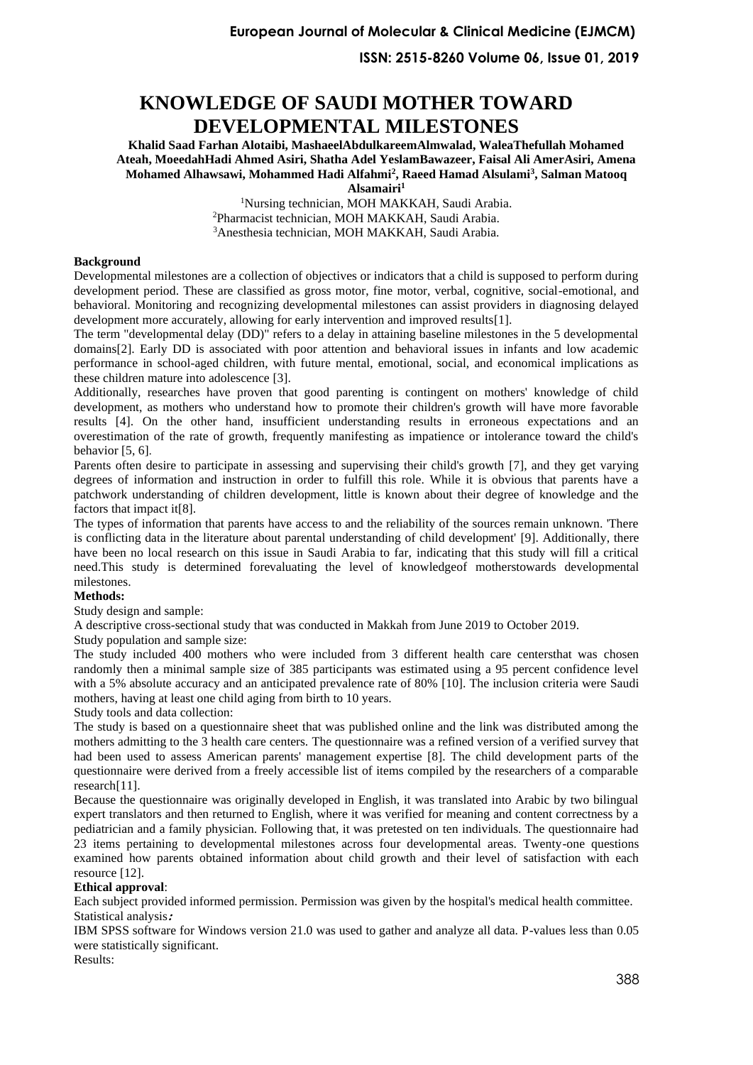**ISSN: 2515-8260 Volume 06, Issue 01, 2019**

# **KNOWLEDGE OF SAUDI MOTHER TOWARD DEVELOPMENTAL MILESTONES**

**Khalid Saad Farhan Alotaibi, MashaeelAbdulkareemAlmwalad, WaleaThefullah Mohamed Ateah, MoeedahHadi Ahmed Asiri, Shatha Adel YeslamBawazeer, Faisal Ali AmerAsiri, Amena Mohamed Alhawsawi, Mohammed Hadi Alfahmi<sup>2</sup> , Raeed Hamad Alsulami<sup>3</sup> , Salman Matooq Alsamairi<sup>1</sup>**

<sup>1</sup>Nursing technician, MOH MAKKAH, Saudi Arabia. <sup>2</sup>Pharmacist technician, MOH MAKKAH, Saudi Arabia. <sup>3</sup>Anesthesia technician, MOH MAKKAH, Saudi Arabia.

### **Background**

Developmental milestones are a collection of objectives or indicators that a child is supposed to perform during development period. These are classified as gross motor, fine motor, verbal, cognitive, social-emotional, and behavioral. Monitoring and recognizing developmental milestones can assist providers in diagnosing delayed development more accurately, allowing for early intervention and improved results[\[1\]](#page-4-0).

The term "developmental delay (DD)" refers to a delay in attaining baseline milestones in the 5 developmental domains[\[2\]](#page-4-1). Early DD is associated with poor attention and behavioral issues in infants and low academic performance in school-aged children, with future mental, emotional, social, and economical implications as these children mature into adolescence [\[3\]](#page-4-2).

Additionally, researches have proven that good parenting is contingent on mothers' knowledge of child development, as mothers who understand how to promote their children's growth will have more favorable results [\[4\]](#page-4-3). On the other hand, insufficient understanding results in erroneous expectations and an overestimation of the rate of growth, frequently manifesting as impatience or intolerance toward the child's behavior [\[5,](#page-4-4) [6\]](#page-4-5).

Parents often desire to participate in assessing and supervising their child's growth [\[7\]](#page-4-6), and they get varying degrees of information and instruction in order to fulfill this role. While it is obvious that parents have a patchwork understanding of children development, little is known about their degree of knowledge and the factors that impact it[\[8\]](#page-5-0).

The types of information that parents have access to and the reliability of the sources remain unknown. 'There is conflicting data in the literature about parental understanding of child development' [\[9\]](#page-5-1). Additionally, there have been no local research on this issue in Saudi Arabia to far, indicating that this study will fill a critical need.This study is determined forevaluating the level of knowledgeof motherstowards developmental milestones.

### **Methods:**

Study design and sample:

A descriptive cross-sectional study that was conducted in Makkah from June 2019 to October 2019.

Study population and sample size:

The study included 400 mothers who were included from 3 different health care centersthat was chosen randomly then a minimal sample size of 385 participants was estimated using a 95 percent confidence level with a 5% absolute accuracy and an anticipated prevalence rate of 80% [\[10\]](#page-5-2). The inclusion criteria were Saudi mothers, having at least one child aging from birth to 10 years.

Study tools and data collection:

The study is based on a questionnaire sheet that was published online and the link was distributed among the mothers admitting to the 3 health care centers. The questionnaire was a refined version of a verified survey that had been used to assess American parents' management expertise [8]. The child development parts of the questionnaire were derived from a freely accessible list of items compiled by the researchers of a comparable research[\[11\]](#page-5-3).

Because the questionnaire was originally developed in English, it was translated into Arabic by two bilingual expert translators and then returned to English, where it was verified for meaning and content correctness by a pediatrician and a family physician. Following that, it was pretested on ten individuals. The questionnaire had 23 items pertaining to developmental milestones across four developmental areas. Twenty-one questions examined how parents obtained information about child growth and their level of satisfaction with each resource [\[12\]](#page-5-4).

### **Ethical approval**:

Each subject provided informed permission. Permission was given by the hospital's medical health committee. Statistical analysis **:**

IBM SPSS software for Windows version 21.0 was used to gather and analyze all data. P-values less than 0.05 were statistically significant.

Results: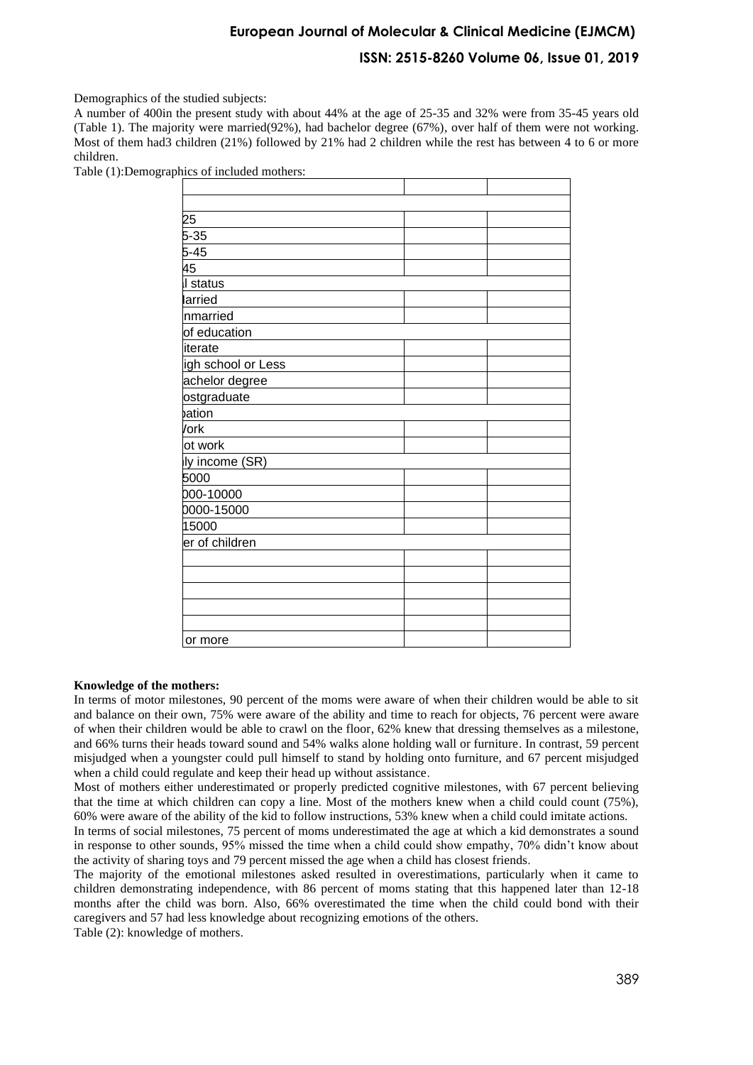### **ISSN: 2515-8260 Volume 06, Issue 01, 2019**

Demographics of the studied subjects:

A number of 400in the present study with about 44% at the age of 25-35 and 32% were from 35-45 years old (Table 1). The majority were married(92%), had bachelor degree (67%), over half of them were not working. Most of them had3 children (21%) followed by 21% had 2 children while the rest has between 4 to 6 or more children.

| 25                 |  |  |
|--------------------|--|--|
| $5 - 35$           |  |  |
| $5-45$             |  |  |
| 45                 |  |  |
| Il status          |  |  |
| larried            |  |  |
| nmarried           |  |  |
| of education       |  |  |
| iterate            |  |  |
| igh school or Less |  |  |
| achelor degree     |  |  |
| ostgraduate        |  |  |
| bation             |  |  |
| /ork               |  |  |
| ot work            |  |  |
| ly income (SR)     |  |  |
| 5000               |  |  |
| 000-10000          |  |  |
| 0000-15000         |  |  |
| 15000              |  |  |
| er of children     |  |  |
|                    |  |  |
|                    |  |  |
|                    |  |  |
|                    |  |  |
|                    |  |  |
| or more            |  |  |

Table (1):Demographics of included mothers:

#### **Knowledge of the mothers:**

In terms of motor milestones, 90 percent of the moms were aware of when their children would be able to sit and balance on their own, 75% were aware of the ability and time to reach for objects, 76 percent were aware of when their children would be able to crawl on the floor, 62% knew that dressing themselves as a milestone, and 66% turns their heads toward sound and 54% walks alone holding wall or furniture. In contrast, 59 percent misjudged when a youngster could pull himself to stand by holding onto furniture, and 67 percent misjudged when a child could regulate and keep their head up without assistance.

Most of mothers either underestimated or properly predicted cognitive milestones, with 67 percent believing that the time at which children can copy a line. Most of the mothers knew when a child could count (75%), 60% were aware of the ability of the kid to follow instructions, 53% knew when a child could imitate actions.

In terms of social milestones, 75 percent of moms underestimated the age at which a kid demonstrates a sound in response to other sounds, 95% missed the time when a child could show empathy, 70% didn't know about the activity of sharing toys and 79 percent missed the age when a child has closest friends .

The majority of the emotional milestones asked resulted in overestimations, particularly when it came to children demonstrating independence, with 86 percent of moms stating that this happened later than 12-18 months after the child was born. Also, 66% overestimated the time when the child could bond with their caregivers and 57 had less knowledge about recognizing emotions of the others.

Table (2): knowledge of mothers.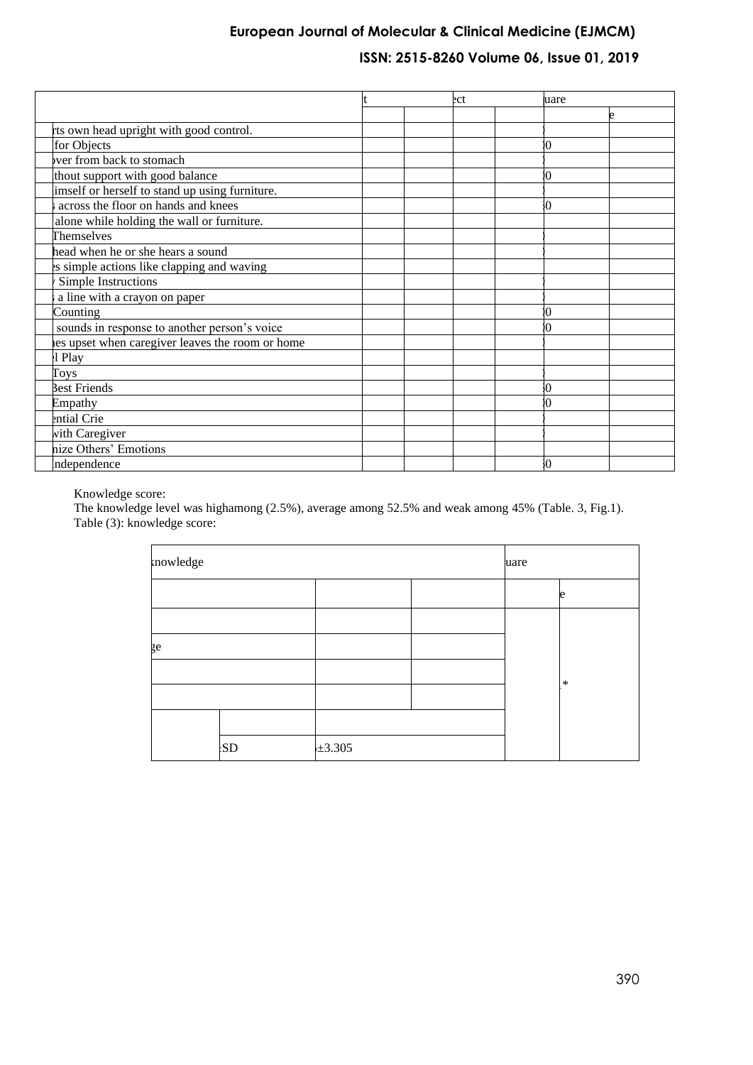## **ISSN: 2515-8260 Volume 06, Issue 01, 2019**

|                                                  |  | ect | uare |  |
|--------------------------------------------------|--|-----|------|--|
|                                                  |  |     |      |  |
| rts own head upright with good control.          |  |     |      |  |
| for Objects                                      |  |     |      |  |
| ver from back to stomach                         |  |     |      |  |
| thout support with good balance                  |  |     |      |  |
| imself or herself to stand up using furniture.   |  |     |      |  |
| across the floor on hands and knees              |  |     | Ю    |  |
| alone while holding the wall or furniture.       |  |     |      |  |
| Themselves                                       |  |     |      |  |
| head when he or she hears a sound                |  |     |      |  |
| es simple actions like clapping and waving       |  |     |      |  |
| Simple Instructions                              |  |     |      |  |
| a line with a crayon on paper                    |  |     |      |  |
| Counting                                         |  |     |      |  |
| sounds in response to another person's voice     |  |     | n    |  |
| nes upset when caregiver leaves the room or home |  |     |      |  |
| l Play                                           |  |     |      |  |
| Toys                                             |  |     |      |  |
| Best Friends                                     |  |     | Ю    |  |
| Empathy                                          |  |     |      |  |
| ential Crie                                      |  |     |      |  |
| with Caregiver                                   |  |     |      |  |
| nize Others' Emotions                            |  |     |      |  |
| ndependence                                      |  |     |      |  |

Knowledge score:

The knowledge level was highamong (2.5%), average among 52.5% and weak among 45% (Table. 3, Fig.1). Table (3): knowledge score:

| mowledge |           |             | uare |  |        |
|----------|-----------|-------------|------|--|--------|
|          |           |             |      |  | e      |
|          |           |             |      |  |        |
| ge       |           |             |      |  |        |
|          |           |             |      |  | $\ast$ |
|          |           |             |      |  |        |
|          |           |             |      |  |        |
|          | <b>SD</b> | $\pm 3.305$ |      |  |        |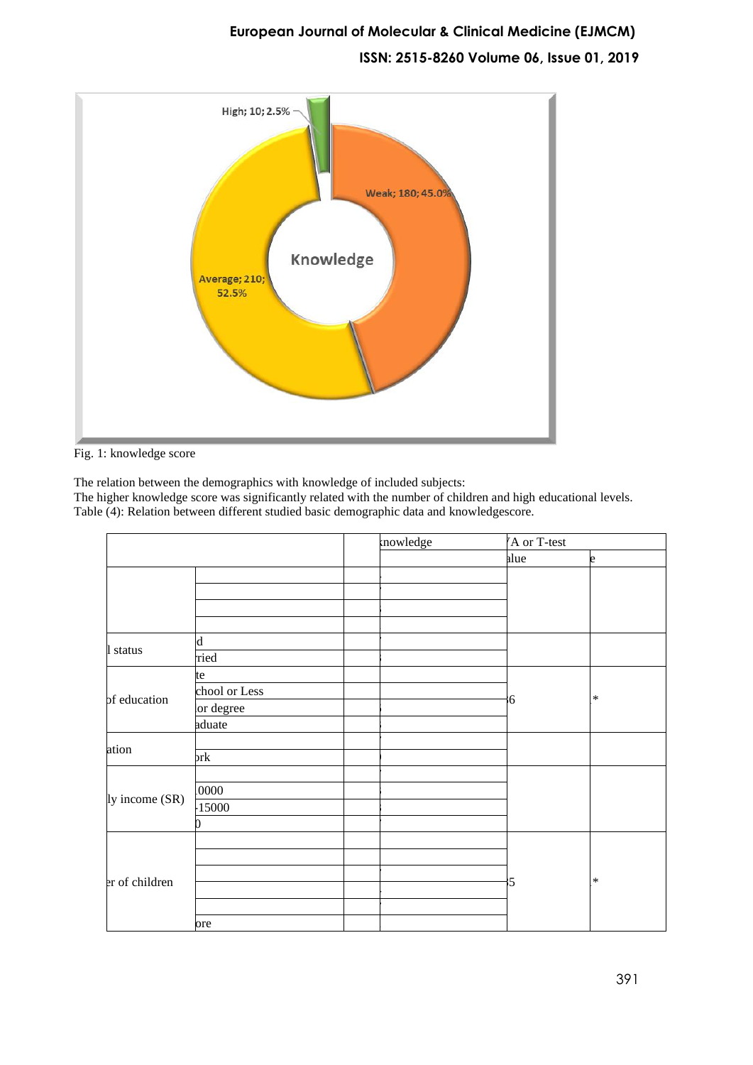# **European Journal of Molecular & Clinical Medicine (EJMCM) ISSN: 2515-8260 Volume 06, Issue 01, 2019**



Fig. 1: knowledge score

The relation between the demographics with knowledge of included subjects: The higher knowledge score was significantly related with the number of children and high educational levels. Table (4): Relation between different studied basic demographic data and knowledgescore.

|                |               | mowledge | A or T-test |        |
|----------------|---------------|----------|-------------|--------|
|                |               |          | alue        | e      |
|                |               |          |             |        |
|                |               |          |             |        |
|                |               |          |             |        |
|                |               |          |             |        |
| 1 status       | $\mathbf d$   |          |             |        |
|                | ried          |          |             |        |
|                | te            |          |             |        |
| of education   | chool or Less |          | 6           | $\ast$ |
|                | lor degree    |          |             |        |
|                | aduate        |          |             |        |
| ation          |               |          |             |        |
|                | prk           |          |             |        |
|                |               |          |             |        |
| ly income (SR) | 0000          |          |             |        |
|                | 15000         |          |             |        |
|                |               |          |             |        |
| er of children |               |          |             |        |
|                |               |          |             |        |
|                |               |          | 5           | $\ast$ |
|                |               |          |             |        |
|                |               |          |             |        |
|                | ore           |          |             |        |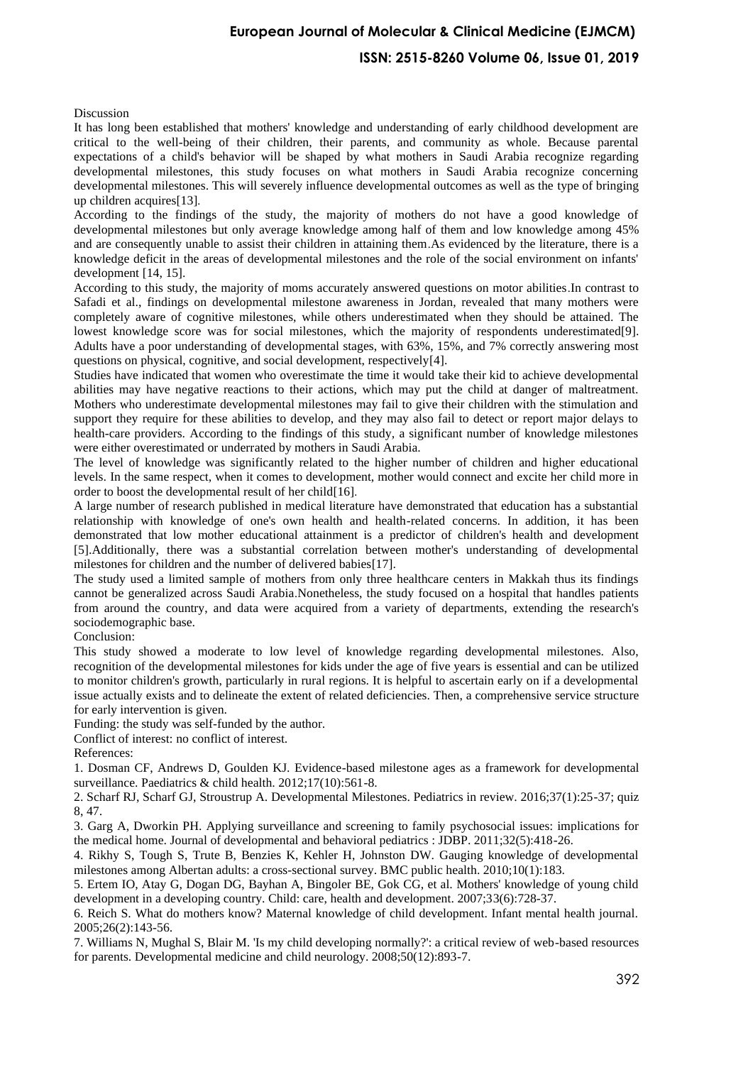### **ISSN: 2515-8260 Volume 06, Issue 01, 2019**

Discussion

It has long been established that mothers' knowledge and understanding of early childhood development are critical to the well-being of their children, their parents, and community as whole. Because parental expectations of a child's behavior will be shaped by what mothers in Saudi Arabia recognize regarding developmental milestones, this study focuses on what mothers in Saudi Arabia recognize concerning developmental milestones. This will severely influence developmental outcomes as well as the type of bringing up children acquires[\[13\]](#page-5-5).

According to the findings of the study, the majority of mothers do not have a good knowledge of developmental milestones but only average knowledge among half of them and low knowledge among 45% and are consequently unable to assist their children in attaining them.As evidenced by the literature, there is a knowledge deficit in the areas of developmental milestones and the role of the social environment on infants' development [\[14,](#page-5-6) [15\]](#page-5-7).

According to this study, the majority of moms accurately answered questions on motor abilities.In contrast to Safadi et al., findings on developmental milestone awareness in Jordan, revealed that many mothers were completely aware of cognitive milestones, while others underestimated when they should be attained. The lowest knowledge score was for social milestones, which the majority of respondents underestimated[\[9\]](#page-5-1). Adults have a poor understanding of developmental stages, with 63%, 15%, and 7% correctly answering most questions on physical, cognitive, and social development, respectively[\[4\]](#page-4-3).

Studies have indicated that women who overestimate the time it would take their kid to achieve developmental abilities may have negative reactions to their actions, which may put the child at danger of maltreatment. Mothers who underestimate developmental milestones may fail to give their children with the stimulation and support they require for these abilities to develop, and they may also fail to detect or report major delays to health-care providers. According to the findings of this study, a significant number of knowledge milestones were either overestimated or underrated by mothers in Saudi Arabia.

The level of knowledge was significantly related to the higher number of children and higher educational levels. In the same respect, when it comes to development, mother would connect and excite her child more in order to boost the developmental result of her child[\[16\]](#page-5-8) .

A large number of research published in medical literature have demonstrated that education has a substantial relationship with knowledge of one's own health and health-related concerns. In addition, it has been demonstrated that low mother educational attainment is a predictor of children's health and development [\[5\]](#page-4-4).Additionally, there was a substantial correlation between mother's understanding of developmental milestones for children and the number of delivered babies[\[17\]](#page-5-9).

The study used a limited sample of mothers from only three healthcare centers in Makkah thus its findings cannot be generalized across Saudi Arabia.Nonetheless, the study focused on a hospital that handles patients from around the country, and data were acquired from a variety of departments, extending the research's sociodemographic base.

Conclusion:

This study showed a moderate to low level of knowledge regarding developmental milestones. Also, recognition of the developmental milestones for kids under the age of five years is essential and can be utilized to monitor children's growth, particularly in rural regions. It is helpful to ascertain early on if a developmental issue actually exists and to delineate the extent of related deficiencies. Then, a comprehensive service structure for early intervention is given.

Funding: the study was self-funded by the author.

Conflict of interest: no conflict of interest.

References:

<span id="page-4-0"></span>1. Dosman CF, Andrews D, Goulden KJ. Evidence-based milestone ages as a framework for developmental surveillance. Paediatrics & child health. 2012;17(10):561-8.

<span id="page-4-1"></span>2. Scharf RJ, Scharf GJ, Stroustrup A. Developmental Milestones. Pediatrics in review. 2016;37(1):25-37; quiz 8, 47.

<span id="page-4-2"></span>3. Garg A, Dworkin PH. Applying surveillance and screening to family psychosocial issues: implications for the medical home. Journal of developmental and behavioral pediatrics : JDBP. 2011;32(5):418-26.

<span id="page-4-3"></span>4. Rikhy S, Tough S, Trute B, Benzies K, Kehler H, Johnston DW. Gauging knowledge of developmental milestones among Albertan adults: a cross-sectional survey. BMC public health. 2010;10(1):183.

<span id="page-4-4"></span>5. Ertem IO, Atay G, Dogan DG, Bayhan A, Bingoler BE, Gok CG, et al. Mothers' knowledge of young child development in a developing country. Child: care, health and development. 2007;33(6):728-37.

<span id="page-4-5"></span>6. Reich S. What do mothers know? Maternal knowledge of child development. Infant mental health journal. 2005;26(2):143-56.

<span id="page-4-6"></span>7. Williams N, Mughal S, Blair M. 'Is my child developing normally?': a critical review of web-based resources for parents. Developmental medicine and child neurology. 2008;50(12):893-7.